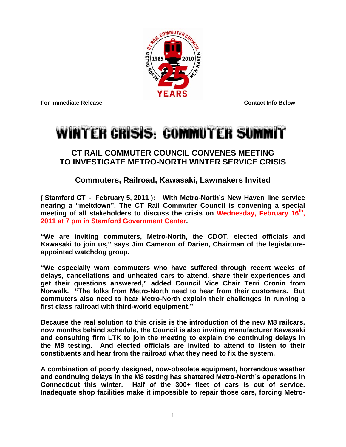

**For Immediate Release Contact Info Below** 

## **WINTER CRISIS: COMMUTER SUMMIT**

## **CT RAIL COMMUTER COUNCIL CONVENES MEETING TO INVESTIGATE METRO-NORTH WINTER SERVICE CRISIS**

## **Commuters, Railroad, Kawasaki, Lawmakers Invited**

**( Stamford CT - February 5, 2011 ): With Metro-North's New Haven line service nearing a "meltdown", The CT Rail Commuter Council is convening a special meeting of all stakeholders to discuss the crisis on Wednesday, February 16th, 2011 at 7 pm in Stamford Government Center.** 

**"We are inviting commuters, Metro-North, the CDOT, elected officials and Kawasaki to join us," says Jim Cameron of Darien, Chairman of the legislatureappointed watchdog group.** 

**"We especially want commuters who have suffered through recent weeks of delays, cancellations and unheated cars to attend, share their experiences and get their questions answered," added Council Vice Chair Terri Cronin from Norwalk. "The folks from Metro-North need to hear from their customers. But commuters also need to hear Metro-North explain their challenges in running a first class railroad with third-world equipment."** 

**Because the real solution to this crisis is the introduction of the new M8 railcars, now months behind schedule, the Council is also inviting manufacturer Kawasaki and consulting firm LTK to join the meeting to explain the continuing delays in the M8 testing. And elected officials are invited to attend to listen to their constituents and hear from the railroad what they need to fix the system.** 

**A combination of poorly designed, now-obsolete equipment, horrendous weather and continuing delays in the M8 testing has shattered Metro-North's operations in Connecticut this winter. Half of the 300+ fleet of cars is out of service. Inadequate shop facilities make it impossible to repair those cars, forcing Metro-**